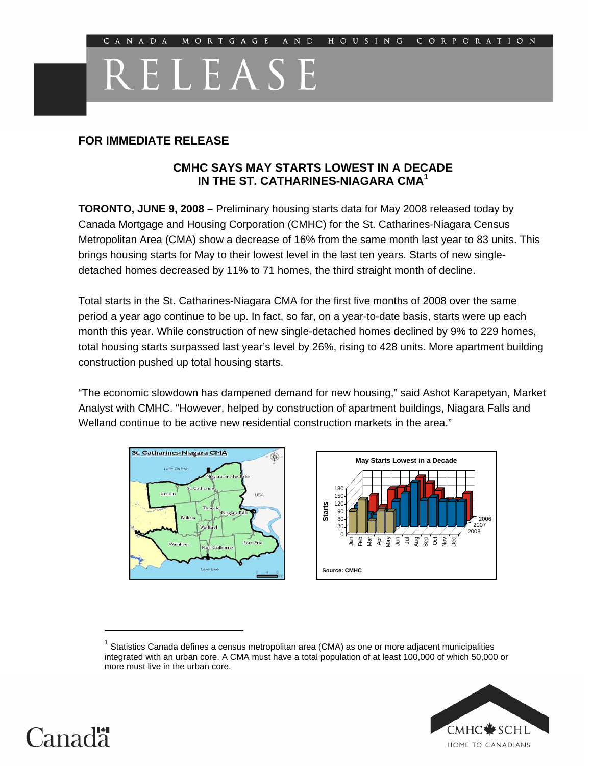# **RELEASE ST. CATHARINES-NIAGARA HOME STARTS UP**

## **FOR IMMEDIATE RELEASE**

## **CMHC SAYS MAY STARTS LOWEST IN A DECADE IN THE ST. CATHARINES-NIAGARA CMA<sup>1</sup>**

**TORONTO, JUNE 9, 2008 –** Preliminary housing starts data for May 2008 released today by Canada Mortgage and Housing Corporation (CMHC) for the St. Catharines-Niagara Census Metropolitan Area (CMA) show a decrease of 16% from the same month last year to 83 units. This brings housing starts for May to their lowest level in the last ten years. Starts of new singledetached homes decreased by 11% to 71 homes, the third straight month of decline.

Total starts in the St. Catharines-Niagara CMA for the first five months of 2008 over the same period a year ago continue to be up. In fact, so far, on a year-to-date basis, starts were up each month this year. While construction of new single-detached homes declined by 9% to 229 homes, total housing starts surpassed last year's level by 26%, rising to 428 units. More apartment building construction pushed up total housing starts.

"The economic slowdown has dampened demand for new housing," said Ashot Karapetyan, Market Analyst with CMHC. "However, helped by construction of apartment buildings, Niagara Falls and Welland continue to be active new residential construction markets in the area."





 $1$  Statistics Canada defines a census metropolitan area (CMA) as one or more adjacent municipalities integrated with an urban core. A CMA must have a total population of at least 100,000 of which 50,000 or more must live in the urban core.





 $\overline{a}$